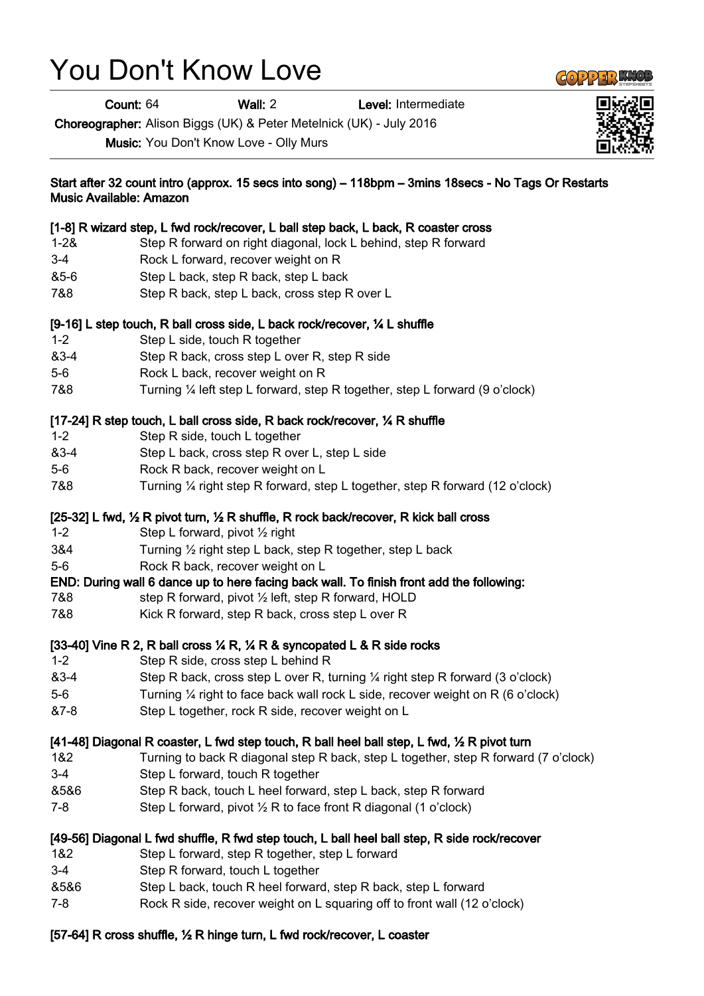# You Don't Know Love

Count: 64 Wall: 2 Level: Intermediate

Choreographer: Alison Biggs (UK) & Peter Metelnick (UK) - July 2016

Music: You Don't Know Love - Olly Murs

# Start after 32 count intro (approx. 15 secs into song) – 118bpm – 3mins 18secs - No Tags Or Restarts Music Available: Amazon

#### [1-8] R wizard step, L fwd rock/recover, L ball step back, L back, R coaster cross

- 1-2& Step R forward on right diagonal, lock L behind, step R forward
- 3-4 Rock L forward, recover weight on R
- &5-6 Step L back, step R back, step L back
- 7&8 Step R back, step L back, cross step R over L

#### [9-16] L step touch, R ball cross side, L back rock/recover, ¼ L shuffle

- 1-2 Step L side, touch R together
- &3-4 Step R back, cross step L over R, step R side
- 5-6 Rock L back, recover weight on R
- 7&8 Turning ¼ left step L forward, step R together, step L forward (9 o'clock)

#### [17-24] R step touch, L ball cross side, R back rock/recover,  $\frac{1}{4}$  R shuffle

- 1-2 Step R side, touch L together
- &3-4 Step L back, cross step R over L, step L side
- 5-6 Rock R back, recover weight on L
- 7&8 Turning ¼ right step R forward, step L together, step R forward (12 o'clock)

#### [25-32] L fwd, ½ R pivot turn, ½ R shuffle, R rock back/recover, R kick ball cross

- 1-2 Step L forward, pivot ½ right
- 3&4 Turning ½ right step L back, step R together, step L back
- 5-6 Rock R back, recover weight on L

#### END: During wall 6 dance up to here facing back wall. To finish front add the following:

- 7&8 step R forward, pivot ½ left, step R forward, HOLD
- 7&8 Kick R forward, step R back, cross step L over R

#### [33-40] Vine R 2, R ball cross ¼ R, ¼ R & syncopated L & R side rocks

- 1-2 Step R side, cross step L behind R
- &3-4 Step R back, cross step L over R, turning ¼ right step R forward (3 o'clock)
- 5-6 Turning ¼ right to face back wall rock L side, recover weight on R (6 o'clock)
- &7-8 Step L together, rock R side, recover weight on L

#### [41-48] Diagonal R coaster, L fwd step touch, R ball heel ball step, L fwd, ½ R pivot turn

- 1&2 Turning to back R diagonal step R back, step L together, step R forward (7 o'clock)
- 3-4 Step L forward, touch R together
- &5&6 Step R back, touch L heel forward, step L back, step R forward
- 7-8 Step L forward, pivot  $\frac{1}{2}$  R to face front R diagonal (1 o'clock)

## [49-56] Diagonal L fwd shuffle, R fwd step touch, L ball heel ball step, R side rock/recover

- 1&2 Step L forward, step R together, step L forward
- 3-4 Step R forward, touch L together
- &5&6 Step L back, touch R heel forward, step R back, step L forward
- 7-8 Rock R side, recover weight on L squaring off to front wall (12 o'clock)

## [57-64] R cross shuffle, ½ R hinge turn, L fwd rock/recover, L coaster